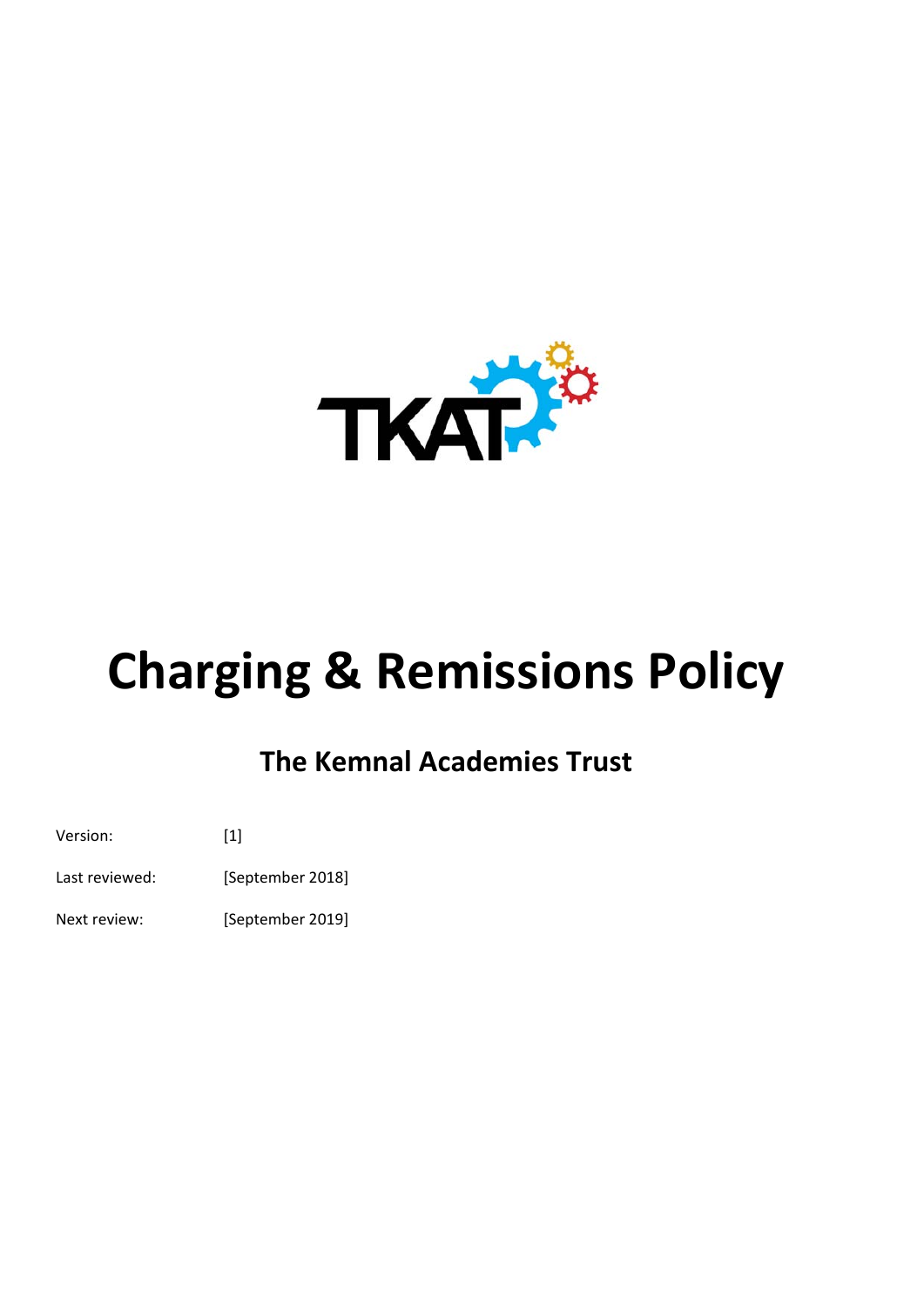

# **Charging & Remissions Policy**

# **The Kemnal Academies Trust**

Version: [1] Last reviewed: [September 2018] Next review: [September 2019]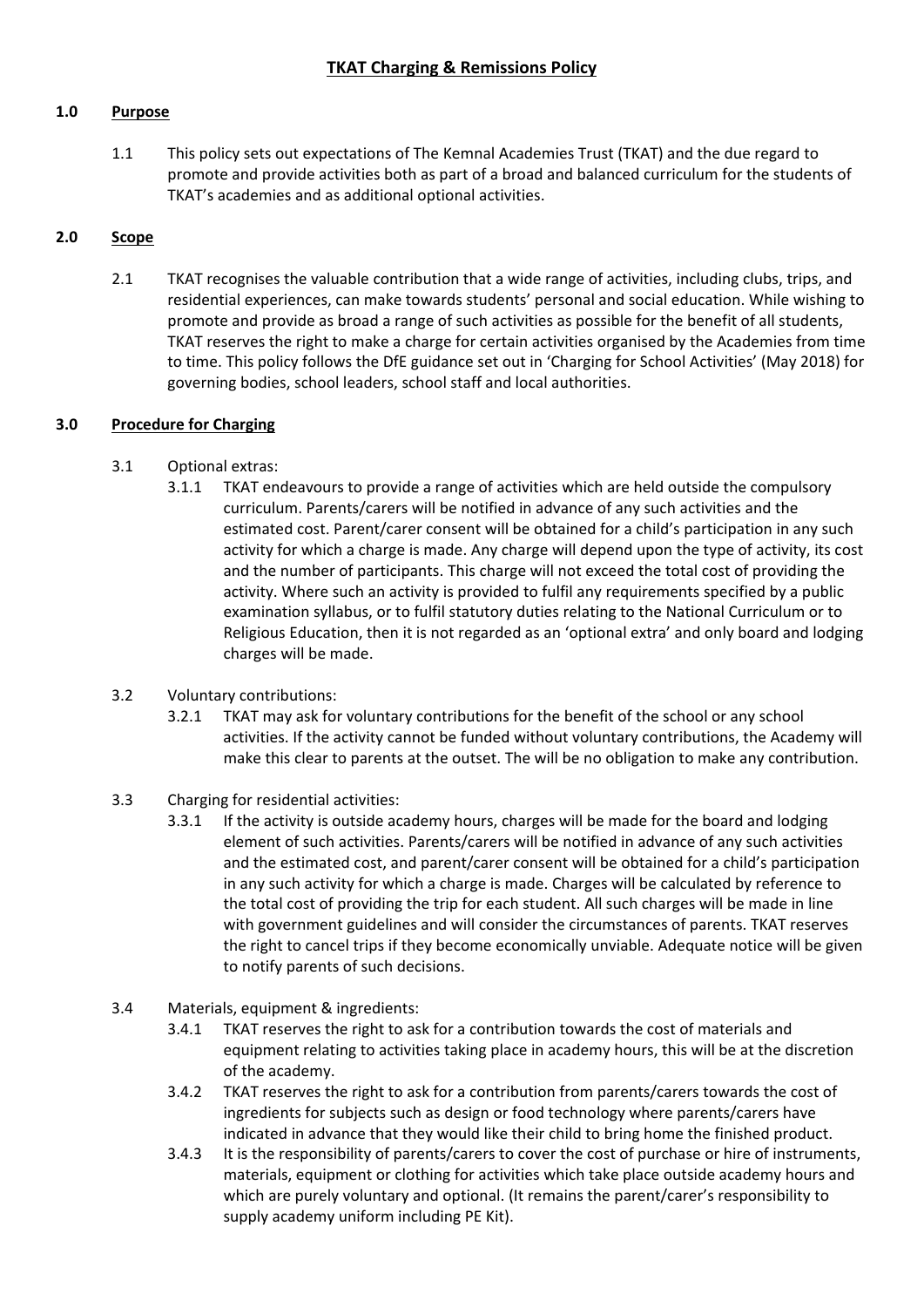# **1.0 Purpose**

1.1 This policy sets out expectations of The Kemnal Academies Trust (TKAT) and the due regard to promote and provide activities both as part of a broad and balanced curriculum for the students of TKAT's academies and as additional optional activities.

# **2.0 Scope**

2.1 TKAT recognises the valuable contribution that a wide range of activities, including clubs, trips, and residential experiences, can make towards students' personal and social education. While wishing to promote and provide as broad a range of such activities as possible for the benefit of all students, TKAT reserves the right to make a charge for certain activities organised by the Academies from time to time. This policy follows the DfE guidance set out in 'Charging for School Activities' (May 2018) for governing bodies, school leaders, school staff and local authorities.

# **3.0 Procedure for Charging**

- 3.1 Optional extras:
	- 3.1.1 TKAT endeavours to provide a range of activities which are held outside the compulsory curriculum. Parents/carers will be notified in advance of any such activities and the estimated cost. Parent/carer consent will be obtained for a child's participation in any such activity for which a charge is made. Any charge will depend upon the type of activity, its cost and the number of participants. This charge will not exceed the total cost of providing the activity. Where such an activity is provided to fulfil any requirements specified by a public examination syllabus, or to fulfil statutory duties relating to the National Curriculum or to Religious Education, then it is not regarded as an 'optional extra' and only board and lodging charges will be made.
- 3.2 Voluntary contributions:
	- 3.2.1 TKAT may ask for voluntary contributions for the benefit of the school or any school activities. If the activity cannot be funded without voluntary contributions, the Academy will make this clear to parents at the outset. The will be no obligation to make any contribution.
- 3.3 Charging for residential activities:
	- 3.3.1 If the activity is outside academy hours, charges will be made for the board and lodging element of such activities. Parents/carers will be notified in advance of any such activities and the estimated cost, and parent/carer consent will be obtained for a child's participation in any such activity for which a charge is made. Charges will be calculated by reference to the total cost of providing the trip for each student. All such charges will be made in line with government guidelines and will consider the circumstances of parents. TKAT reserves the right to cancel trips if they become economically unviable. Adequate notice will be given to notify parents of such decisions.
- 3.4 Materials, equipment & ingredients:
	- 3.4.1 TKAT reserves the right to ask for a contribution towards the cost of materials and equipment relating to activities taking place in academy hours, this will be at the discretion of the academy.
	- 3.4.2 TKAT reserves the right to ask for a contribution from parents/carers towards the cost of ingredients for subjects such as design or food technology where parents/carers have indicated in advance that they would like their child to bring home the finished product.
	- 3.4.3 It is the responsibility of parents/carers to cover the cost of purchase or hire of instruments, materials, equipment or clothing for activities which take place outside academy hours and which are purely voluntary and optional. (It remains the parent/carer's responsibility to supply academy uniform including PE Kit).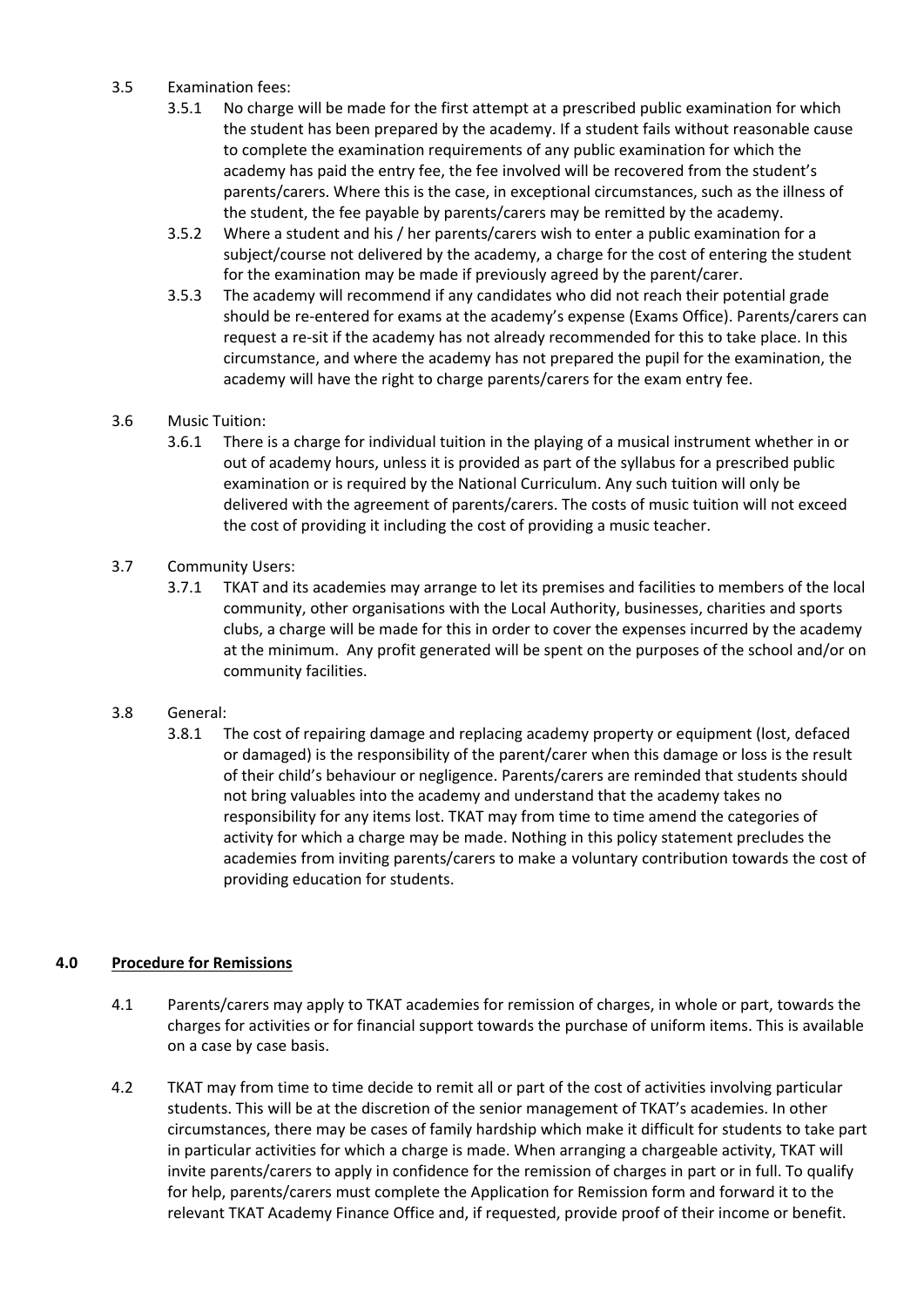#### 3.5 Examination fees:

- 3.5.1 No charge will be made for the first attempt at a prescribed public examination for which the student has been prepared by the academy. If a student fails without reasonable cause to complete the examination requirements of any public examination for which the academy has paid the entry fee, the fee involved will be recovered from the student's parents/carers. Where this is the case, in exceptional circumstances, such as the illness of the student, the fee payable by parents/carers may be remitted by the academy.
- 3.5.2 Where a student and his / her parents/carers wish to enter a public examination for a subject/course not delivered by the academy, a charge for the cost of entering the student for the examination may be made if previously agreed by the parent/carer.
- 3.5.3 The academy will recommend if any candidates who did not reach their potential grade should be re‐entered for exams at the academy's expense (Exams Office). Parents/carers can request a re‐sit if the academy has not already recommended for this to take place. In this circumstance, and where the academy has not prepared the pupil for the examination, the academy will have the right to charge parents/carers for the exam entry fee.

# 3.6 Music Tuition:

3.6.1 There is a charge for individual tuition in the playing of a musical instrument whether in or out of academy hours, unless it is provided as part of the syllabus for a prescribed public examination or is required by the National Curriculum. Any such tuition will only be delivered with the agreement of parents/carers. The costs of music tuition will not exceed the cost of providing it including the cost of providing a music teacher.

#### 3.7 Community Users:

3.7.1 TKAT and its academies may arrange to let its premises and facilities to members of the local community, other organisations with the Local Authority, businesses, charities and sports clubs, a charge will be made for this in order to cover the expenses incurred by the academy at the minimum. Any profit generated will be spent on the purposes of the school and/or on community facilities.

#### 3.8 General:

3.8.1 The cost of repairing damage and replacing academy property or equipment (lost, defaced or damaged) is the responsibility of the parent/carer when this damage or loss is the result of their child's behaviour or negligence. Parents/carers are reminded that students should not bring valuables into the academy and understand that the academy takes no responsibility for any items lost. TKAT may from time to time amend the categories of activity for which a charge may be made. Nothing in this policy statement precludes the academies from inviting parents/carers to make a voluntary contribution towards the cost of providing education for students.

#### **4.0 Procedure for Remissions**

- 4.1 Parents/carers may apply to TKAT academies for remission of charges, in whole or part, towards the charges for activities or for financial support towards the purchase of uniform items. This is available on a case by case basis.
- 4.2 TKAT may from time to time decide to remit all or part of the cost of activities involving particular students. This will be at the discretion of the senior management of TKAT's academies. In other circumstances, there may be cases of family hardship which make it difficult for students to take part in particular activities for which a charge is made. When arranging a chargeable activity, TKAT will invite parents/carers to apply in confidence for the remission of charges in part or in full. To qualify for help, parents/carers must complete the Application for Remission form and forward it to the relevant TKAT Academy Finance Office and, if requested, provide proof of their income or benefit.